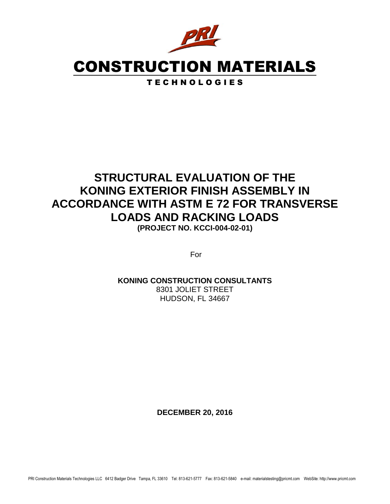

# CONSTRUCTION MATERIALS

T E C H N O L O G I E S

# **STRUCTURAL EVALUATION OF THE KONING EXTERIOR FINISH ASSEMBLY IN ACCORDANCE WITH ASTM E 72 FOR TRANSVERSE LOADS AND RACKING LOADS**

**(PROJECT NO. KCCI-004-02-01)**

For

### **KONING CONSTRUCTION CONSULTANTS**

8301 JOLIET STREET HUDSON, FL 34667

**DECEMBER 20, 2016**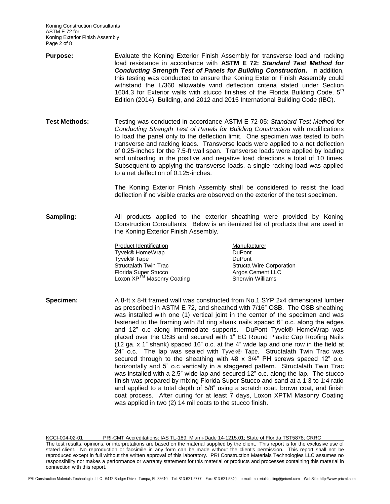Koning Construction Consultants ASTM E 72 for Koning Exterior Finish Assembly Page 2 of 8

- **Purpose:** Evaluate the Koning Exterior Finish Assembly for transverse load and racking load resistance in accordance with **ASTM E 72:** *Standard Test Method for Conducting Strength Test of Panels for Building Construction***.** In addition, this testing was conducted to ensure the Koning Exterior Finish Assembly could withstand the L/360 allowable wind deflection criteria stated under Section 1604.3 for Exterior walls with stucco finishes of the Florida Building Code,  $5<sup>tn</sup>$ Edition (2014), Building, and 2012 and 2015 International Building Code (IBC).
- **Test Methods:** Testing was conducted in accordance ASTM E 72-05: *Standard Test Method for Conducting Strength Test of Panels for Building Construction* with modifications to load the panel only to the deflection limit. One specimen was tested to both transverse and racking loads. Transverse loads were applied to a net deflection of 0.25-inches for the 7.5-ft wall span. Transverse loads were applied by loading and unloading in the positive and negative load directions a total of 10 times. Subsequent to applying the transverse loads, a single racking load was applied to a net deflection of 0.125-inches.

The Koning Exterior Finish Assembly shall be considered to resist the load deflection if no visible cracks are observed on the exterior of the test specimen.

**Sampling:** All products applied to the exterior sheathing were provided by Koning Construction Consultants. Below is an itemized list of products that are used in the Koning Exterior Finish Assembly.

> Product Identification<br>
> Tyvek® HomeWrap<br>
> DuPont Tyvek® HomeWrap DuPont Tyvek® Tape<br>Structalath Twin Trac Florida Super Stucco Argos Cement LLC Loxon XP<sup>TM</sup> Masonry Coating Sherwin-Williams

Structa Wire Corporation

**Specimen:** A 8-ft x 8-ft framed wall was constructed from No.1 SYP 2x4 dimensional lumber as prescribed in ASTM E 72, and sheathed with 7/16" OSB. The OSB sheathing was installed with one (1) vertical joint in the center of the specimen and was fastened to the framing with 8d ring shank nails spaced 6" o.c. along the edges and 12" o.c along intermediate supports. DuPont Tyvek® HomeWrap was placed over the OSB and secured with 1" EG Round Plastic Cap Roofing Nails (12 ga. x 1" shank) spaced 16" o.c. at the 4" wide lap and one row in the field at 24" o.c. The lap was sealed with Tyvek® Tape. Structalath Twin Trac was secured through to the sheathing with #8 x 3/4" PH screws spaced 12" o.c. horizontally and 5" o.c vertically in a staggered pattern. Structalath Twin Trac was installed with a 2.5" wide lap and secured 12" o.c. along the lap. The stucco finish was prepared by mixing Florida Super Stucco and sand at a 1:3 to 1:4 ratio and applied to a total depth of 5/8" using a scratch coat, brown coat, and finish coat process. After curing for at least 7 days, Loxon XPTM Masonry Coating was applied in two (2) 14 mil coats to the stucco finish.

KCCI-004-02-01 PRI-CMT Accreditations: IAS TL-189; Miami-Dade 14-1215.01; State of Florida TST5878; CRRC The test results, opinions, or interpretations are based on the material supplied by the client. This report is for the exclusive use of stated client. No reproduction or facsimile in any form can be made without the client's permission. This report shall not be reproduced except in full without the written approval of this laboratory. PRI Construction Materials Technologies LLC assumes no responsibility nor makes a performance or warranty statement for this material or products and processes containing this material in connection with this report.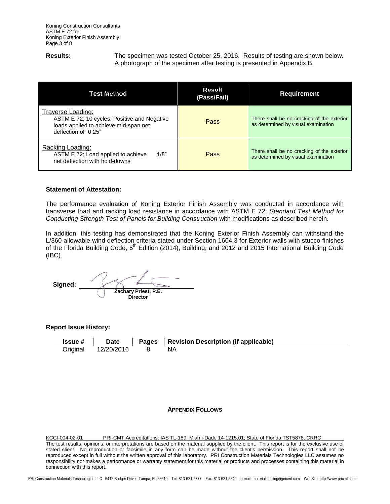**Results:** The specimen was tested October 25, 2016. Results of testing are shown below. A photograph of the specimen after testing is presented in Appendix B.

| Test MຍΩrod                                                                                                                      | <b>Result</b><br>(Pass/Fail) | <b>Requirement</b>                                                                |
|----------------------------------------------------------------------------------------------------------------------------------|------------------------------|-----------------------------------------------------------------------------------|
| Traverse Loading:<br>ASTM E 72; 10 cycles; Positive and Negative<br>loads applied to achieve mid-span net<br>deflection of 0.25" | Pass                         | There shall be no cracking of the exterior<br>as determined by visual examination |
| Racking Loading:<br>ASTM E 72; Load applied to achieve<br>1/8"<br>net deflection with hold-downs                                 | Pass                         | There shall be no cracking of the exterior<br>as determined by visual examination |

### **Statement of Attestation:**

The performance evaluation of Koning Exterior Finish Assembly was conducted in accordance with transverse load and racking load resistance in accordance with ASTM E 72: *Standard Test Method for Conducting Strength Test of Panels for Building Construction* with modifications as described herein.

In addition, this testing has demonstrated that the Koning Exterior Finish Assembly can withstand the L/360 allowable wind deflection criteria stated under Section 1604.3 for Exterior walls with stucco finishes of the Florida Building Code, 5<sup>th</sup> Edition (2014), Building, and 2012 and 2015 International Building Code (IBC).

 **Signed: Zachary Priest, P.E. Director**

**Report Issue History:**

**Issue # Date Pages Revision Description (if applicable)** Original 12/20/2016 8 NA

### **APPENDIX FOLLOWS**

KCCI-004-02-01 PRI-CMT Accreditations: IAS TL-189; Miami-Dade 14-1215.01; State of Florida TST5878; CRRC The test results, opinions, or interpretations are based on the material supplied by the client. This report is for the exclusive use of stated client. No reproduction or facsimile in any form can be made without the client's permission. This report shall not be reproduced except in full without the written approval of this laboratory. PRI Construction Materials Technologies LLC assumes no responsibility nor makes a performance or warranty statement for this material or products and processes containing this material in connection with this report.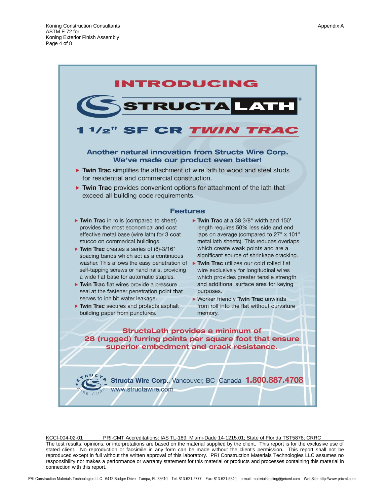

KCCI-004-02-01 PRI-CMT Accreditations: IAS TL-189; Miami-Dade 14-1215.01; State of Florida TST5878; CRRC The test results, opinions, or interpretations are based on the material supplied by the client. This report is for the exclusive use of stated client. No reproduction or facsimile in any form can be made without the client's permission. This report shall not be reproduced except in full without the written approval of this laboratory. PRI Construction Materials Technologies LLC assumes no responsibility nor makes a performance or warranty statement for this material or products and processes containing this material in connection with this report.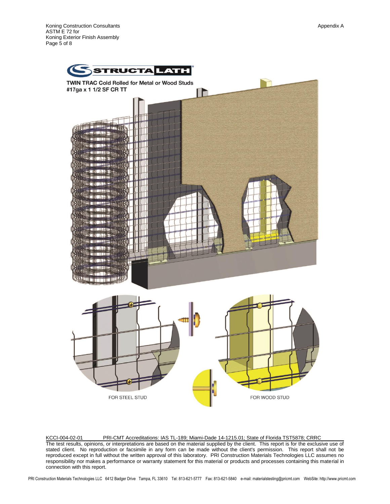Koning Construction Consultants **Appendix A** Appendix A ASTM E 72 for Koning Exterior Finish Assembly Page 5 of 8



KCCI-004-02-01 PRI-CMT Accreditations: IAS TL-189; Miami-Dade 14-1215.01; State of Florida TST5878; CRRC The test results, opinions, or interpretations are based on the material supplied by the client. This report is for the exclusive use of stated client. No reproduction or facsimile in any form can be made without the client's permission. This report shall not be reproduced except in full without the written approval of this laboratory. PRI Construction Materials Technologies LLC assumes no responsibility nor makes a performance or warranty statement for this material or products and processes containing this material in connection with this report.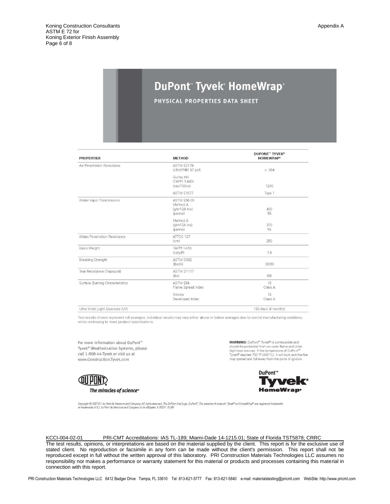## DuPont Tyvek HomeWrap®

PHYSICAL PROPERTIES DATA SHEET

| <b>PROPERTIES</b>                  | <b>METHOD</b>                                         | <b>DUPONT" TYVEK®</b><br><b>HOMEWRAP®</b> |
|------------------------------------|-------------------------------------------------------|-------------------------------------------|
| Air Penetration Resistance         | ASTM E2178<br>$(cfm/ft^2@1.57 psf)$                   | < 0.004                                   |
|                                    | Gurley Hill<br>(TAPPI T-460)<br>(sec/100cc)           | 1200                                      |
|                                    | ASTM E1677                                            | Type 1                                    |
| Water Vapor Transmission           | ASTM E96-05<br>Method A<br>$(q/m2-24 hrs)$<br>(perms) | 400<br>56                                 |
|                                    | Method B<br>$(q/m2-24 hrs)$<br>(perms)                | 370<br>54                                 |
| Water Penetration Resistance       | ATTCC 127<br>(cm)                                     | 250                                       |
| <b>Basis Weight</b>                | <b>TAPPI T-410</b><br>(oz/vd <sup>2</sup> )           | 1.8                                       |
| <b>Breaking Strength</b>           | ASTM D882<br>(lbs/in)                                 | 30/30                                     |
| Tear Resistance (Trapezoid)        | ASTM D1117<br>(lbs)                                   | 8/6                                       |
| Surface Burning Characteristics    | ASTM E84<br>Flame Spread Index                        | 15<br>Class A                             |
|                                    | Smoke<br>Developed Index                              | 15<br>Class A                             |
| Liltra Violet Light Exposure (LIV) |                                                       | 120 days (4 months)                       |

Test results shown represent roll averages. Individual results may vary either above or below averages due to normal manufacturing variations, while continuing to meet product specifications

For more information about DuPont™ Tyvek® Weatherization Systems, please call 1-800-44-Tyvek or visit us at www.Construction.Tyvek.com

**WARNING:** DuPont™ Tyvek® is combustible and should be protected from an open flame and other high heat sources. If the temperature of DuPont<sup>\*\*</sup><br>Tyvek® reaches 750 °F (400 °C), it will burn and the fire may spread and fall away from the point of ignition.



DuPont™



Copyright © 2007 E.I. du Pont de Nemours and Company. All rights reserved. The DuPont Oval Logo, DuPont". The miracles of science", Tyvek® and HomeWrap® are registered trademarks<br>or trademarks of E.I. du Pont de Nemours an

#### KCCI-004-02-01 PRI-CMT Accreditations: IAS TL-189; Miami-Dade 14-1215.01; State of Florida TST5878; CRRC

The test results, opinions, or interpretations are based on the material supplied by the client. This report is for the exclusive use of stated client. No reproduction or facsimile in any form can be made without the client's permission. This report shall not be reproduced except in full without the written approval of this laboratory. PRI Construction Materials Technologies LLC assumes no responsibility nor makes a performance or warranty statement for this material or products and processes containing this material in connection with this report.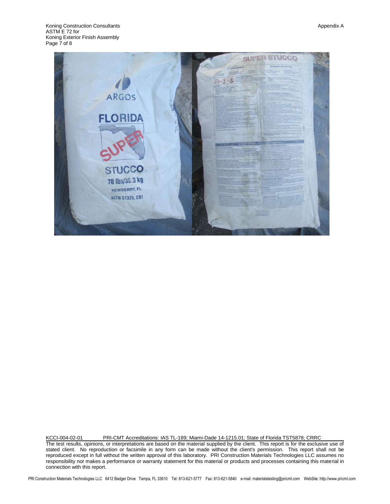

KCCI-004-02-01 PRI-CMT Accreditations: IAS TL-189; Miami-Dade 14-1215.01; State of Florida TST5878; CRRC The test results, opinions, or interpretations are based on the material supplied by the client. This report is for the exclusive use of stated client. No reproduction or facsimile in any form can be made without the client's permission. This report shall not be reproduced except in full without the written approval of this laboratory. PRI Construction Materials Technologies LLC assumes no responsibility nor makes a performance or warranty statement for this material or products and processes containing this material in connection with this report.